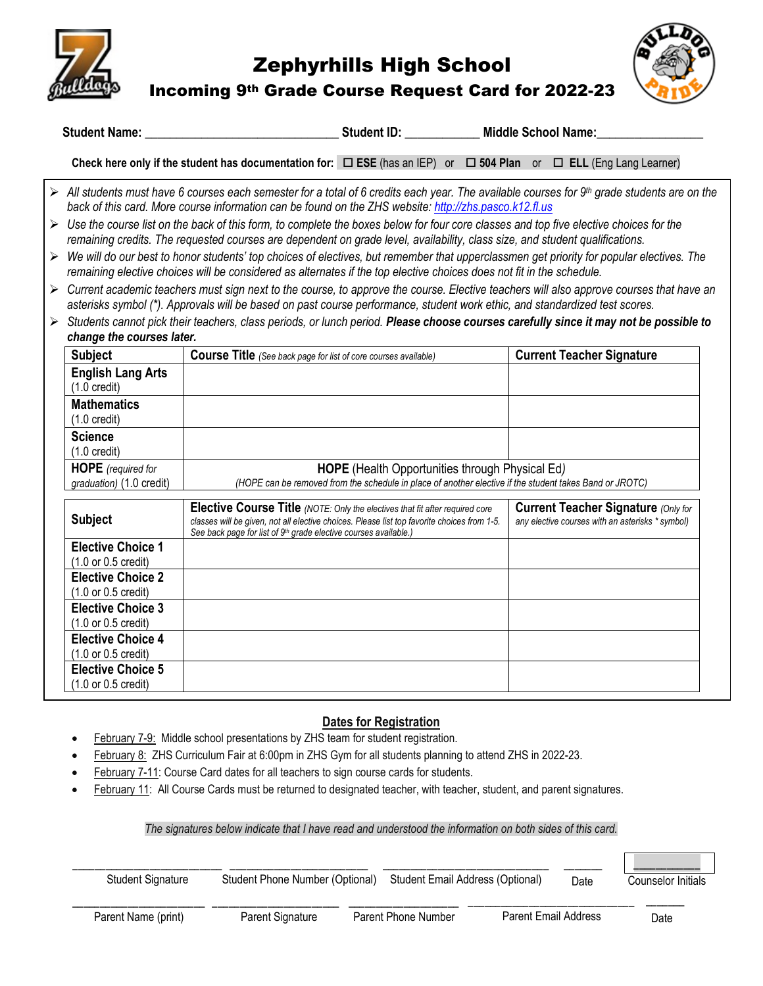

Zephyrhills High School

Incoming 9th Grade Course Request Card for 2022-23



 $\overline{\phantom{a}}$ 

|                       |                                                                                                                                                                                                                     | Student Name: Student ID: Student ID: Middle School Name:                                                                                                                                                                                                                               |  |  |                                                                                                                                            |  |  |  |  |
|-----------------------|---------------------------------------------------------------------------------------------------------------------------------------------------------------------------------------------------------------------|-----------------------------------------------------------------------------------------------------------------------------------------------------------------------------------------------------------------------------------------------------------------------------------------|--|--|--------------------------------------------------------------------------------------------------------------------------------------------|--|--|--|--|
|                       |                                                                                                                                                                                                                     | Check here only if the student has documentation for: $\Box$ ESE (has an IEP) or $\Box$ 504 Plan or $\Box$ ELL (Eng Lang Learner)                                                                                                                                                       |  |  |                                                                                                                                            |  |  |  |  |
|                       |                                                                                                                                                                                                                     | back of this card. More course information can be found on the ZHS website: http://zhs.pasco.k12.fl.us                                                                                                                                                                                  |  |  | All students must have 6 courses each semester for a total of 6 credits each year. The available courses for 9th grade students are on the |  |  |  |  |
|                       |                                                                                                                                                                                                                     | $\triangleright$ Use the course list on the back of this form, to complete the boxes below for four core classes and top five elective choices for the<br>remaining credits. The requested courses are dependent on grade level, availability, class size, and student qualifications.  |  |  |                                                                                                                                            |  |  |  |  |
| $\blacktriangleright$ |                                                                                                                                                                                                                     | We will do our best to honor students' top choices of electives, but remember that upperclassmen get priority for popular electives. The<br>remaining elective choices will be considered as alternates if the top elective choices does not fit in the schedule.                       |  |  |                                                                                                                                            |  |  |  |  |
|                       |                                                                                                                                                                                                                     | $\triangleright$ Current academic teachers must sign next to the course, to approve the course. Elective teachers will also approve courses that have an<br>asterisks symbol (*). Approvals will be based on past course performance, student work ethic, and standardized test scores. |  |  |                                                                                                                                            |  |  |  |  |
| $\blacktriangleright$ | change the courses later.                                                                                                                                                                                           | Students cannot pick their teachers, class periods, or lunch period. Please choose courses carefully since it may not be possible to                                                                                                                                                    |  |  |                                                                                                                                            |  |  |  |  |
|                       | <b>Subject</b>                                                                                                                                                                                                      | <b>Course Title</b> (See back page for list of core courses available)                                                                                                                                                                                                                  |  |  | <b>Current Teacher Signature</b>                                                                                                           |  |  |  |  |
|                       | <b>English Lang Arts</b><br>$(1.0 \text{ credit})$                                                                                                                                                                  |                                                                                                                                                                                                                                                                                         |  |  |                                                                                                                                            |  |  |  |  |
|                       | <b>Mathematics</b><br>$(1.0 \text{ credit})$                                                                                                                                                                        |                                                                                                                                                                                                                                                                                         |  |  |                                                                                                                                            |  |  |  |  |
|                       | <b>Science</b><br>$(1.0 \text{ credit})$                                                                                                                                                                            |                                                                                                                                                                                                                                                                                         |  |  |                                                                                                                                            |  |  |  |  |
|                       | <b>HOPE</b> (required for<br>HOPE (Health Opportunities through Physical Ed)<br>(HOPE can be removed from the schedule in place of another elective if the student takes Band or JROTC)<br>graduation) (1.0 credit) |                                                                                                                                                                                                                                                                                         |  |  |                                                                                                                                            |  |  |  |  |
|                       | <b>Subject</b>                                                                                                                                                                                                      | Elective Course Title (NOTE: Only the electives that fit after required core<br>classes will be given, not all elective choices. Please list top favorite choices from 1-5.<br>See back page for list of 9th grade elective courses available.)                                         |  |  | <b>Current Teacher Signature (Only for</b><br>any elective courses with an asterisks * symbol)                                             |  |  |  |  |
|                       | <b>Elective Choice 1</b><br>(1.0 or 0.5 credit)                                                                                                                                                                     |                                                                                                                                                                                                                                                                                         |  |  |                                                                                                                                            |  |  |  |  |
|                       | <b>Elective Choice 2</b><br>(1.0 or 0.5 credit)                                                                                                                                                                     |                                                                                                                                                                                                                                                                                         |  |  |                                                                                                                                            |  |  |  |  |
|                       | <b>Elective Choice 3</b><br>(1.0 or 0.5 credit)                                                                                                                                                                     |                                                                                                                                                                                                                                                                                         |  |  |                                                                                                                                            |  |  |  |  |
|                       | <b>Elective Choice 4</b><br>(1.0 or 0.5 credit)                                                                                                                                                                     |                                                                                                                                                                                                                                                                                         |  |  |                                                                                                                                            |  |  |  |  |
|                       | <b>Elective Choice 5</b><br>(1.0 or 0.5 credit)                                                                                                                                                                     |                                                                                                                                                                                                                                                                                         |  |  |                                                                                                                                            |  |  |  |  |

# **Dates for Registration**

- February 7-9: Middle school presentations by ZHS team for student registration.
- February 8: ZHS Curriculum Fair at 6:00pm in ZHS Gym for all students planning to attend ZHS in 2022-23.
- February 7-11: Course Card dates for all teachers to sign course cards for students.
- February 11: All Course Cards must be returned to designated teacher, with teacher, student, and parent signatures.

*The signatures below indicate that I have read and understood the information on both sides of this card.*

| <b>Student Signature</b> | Student Phone Number (Optional) | Student Email Address (Optional) |                      | Date | Counselor Initials |
|--------------------------|---------------------------------|----------------------------------|----------------------|------|--------------------|
| Parent Name (print)      | Parent Signature                | Parent Phone Number              | Parent Email Address |      | Date               |